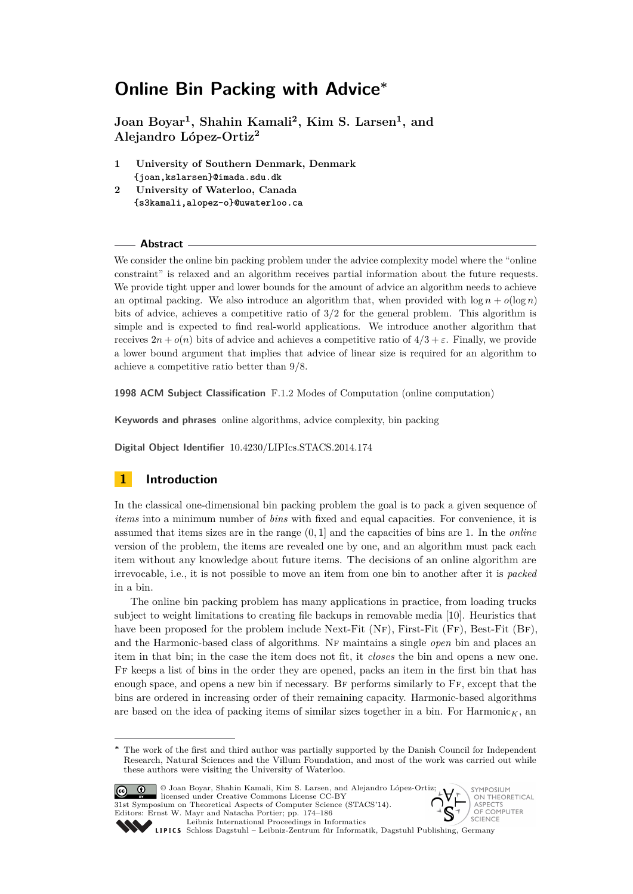<span id="page-0-0"></span>**Joan Boyar<sup>1</sup> , Shahin Kamali<sup>2</sup> , Kim S. Larsen<sup>1</sup> , and Alejandro López-Ortiz<sup>2</sup>**

- **1 University of Southern Denmark, Denmark {joan,kslarsen}@imada.sdu.dk**
- **2 University of Waterloo, Canada {s3kamali,alopez-o}@uwaterloo.ca**

#### **Abstract**

We consider the online bin packing problem under the advice complexity model where the "online constraint" is relaxed and an algorithm receives partial information about the future requests. We provide tight upper and lower bounds for the amount of advice an algorithm needs to achieve an optimal packing. We also introduce an algorithm that, when provided with  $\log n + o(\log n)$ bits of advice, achieves a competitive ratio of 3*/*2 for the general problem. This algorithm is simple and is expected to find real-world applications. We introduce another algorithm that receives  $2n + o(n)$  bits of advice and achieves a competitive ratio of  $4/3 + \varepsilon$ . Finally, we provide a lower bound argument that implies that advice of linear size is required for an algorithm to achieve a competitive ratio better than 9*/*8.

**1998 ACM Subject Classification** F.1.2 Modes of Computation (online computation)

**Keywords and phrases** online algorithms, advice complexity, bin packing

**Digital Object Identifier** [10.4230/LIPIcs.STACS.2014.174](http://dx.doi.org/10.4230/LIPIcs.STACS.2014.174)

# **1 Introduction**

In the classical one-dimensional bin packing problem the goal is to pack a given sequence of *items* into a minimum number of *bins* with fixed and equal capacities. For convenience, it is assumed that items sizes are in the range (0*,* 1] and the capacities of bins are 1. In the *online* version of the problem, the items are revealed one by one, and an algorithm must pack each item without any knowledge about future items. The decisions of an online algorithm are irrevocable, i.e., it is not possible to move an item from one bin to another after it is *packed* in a bin.

The online bin packing problem has many applications in practice, from loading trucks subject to weight limitations to creating file backups in removable media [\[10\]](#page-12-0). Heuristics that have been proposed for the problem include Next-Fit  $(NF)$ , First-Fit  $(FF)$ , Best-Fit  $(BF)$ , and the Harmonic-based class of algorithms. Nf maintains a single *open* bin and places an item in that bin; in the case the item does not fit, it *closes* the bin and opens a new one. Ff keeps a list of bins in the order they are opened, packs an item in the first bin that has enough space, and opens a new bin if necessary. BF performs similarly to FF, except that the bins are ordered in increasing order of their remaining capacity. Harmonic-based algorithms are based on the idea of packing items of similar sizes together in a bin. For  $\text{Harmonic}_K$ , an

The work of the first and third author was partially supported by the Danish Council for Independent Research, Natural Sciences and the Villum Foundation, and most of the work was carried out while these authors were visiting the University of Waterloo.



© Joan Boyar, Shahin Kamali, Kim S. Larsen, and Alejandro López-Ortiz; licensed under Creative Commons License CC-BY 31st Symposium on Theoretical Aspects of Computer Science (STACS'14). Editors: Ernst W. Mayr and Natacha Portier; pp. 174[–186](#page-12-1) [Leibniz International Proceedings in Informatics](http://www.dagstuhl.de/lipics/)

ON THEORETICAL `S OF COMPUTER

SYMPOSIUM

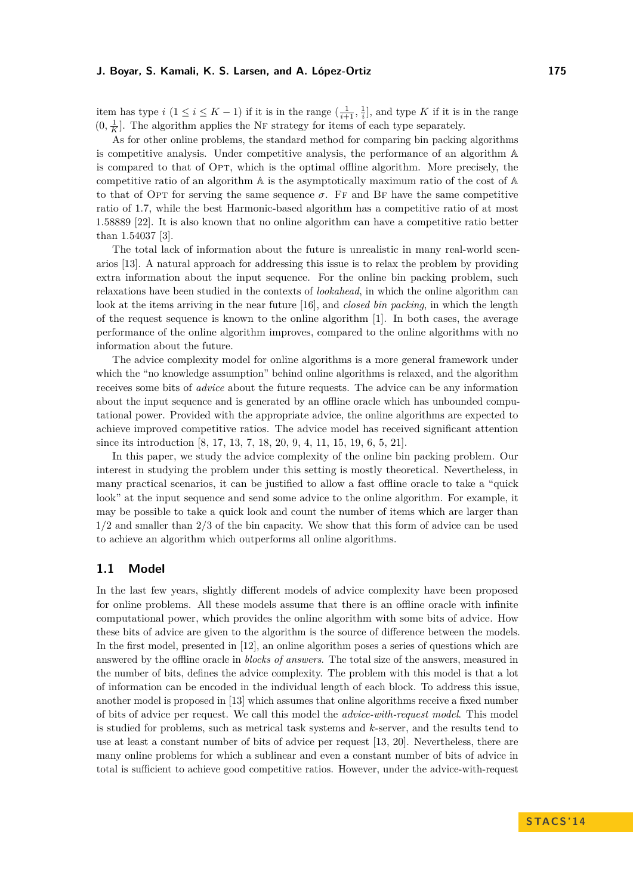item has type  $i$   $(1 \le i \le K - 1)$  if it is in the range  $(\frac{1}{i+1}, \frac{1}{i}]$ , and type K if it is in the range  $(0, \frac{1}{K}]$ . The algorithm applies the NF strategy for items of each type separately.

As for other online problems, the standard method for comparing bin packing algorithms is competitive analysis. Under competitive analysis, the performance of an algorithm A is compared to that of OPT, which is the optimal offline algorithm. More precisely, the competitive ratio of an algorithm  $A$  is the asymptotically maximum ratio of the cost of  $A$ to that of Opt for serving the same sequence  $\sigma$ . Ff and Bf have the same competitive ratio of 1*.*7, while the best Harmonic-based algorithm has a competitive ratio of at most 1*.*58889 [\[22\]](#page-12-2). It is also known that no online algorithm can have a competitive ratio better than 1*.*54037 [\[3\]](#page-11-0).

The total lack of information about the future is unrealistic in many real-world scenarios [\[13\]](#page-12-3). A natural approach for addressing this issue is to relax the problem by providing extra information about the input sequence. For the online bin packing problem, such relaxations have been studied in the contexts of *lookahead*, in which the online algorithm can look at the items arriving in the near future [\[16\]](#page-12-4), and *closed bin packing*, in which the length of the request sequence is known to the online algorithm [\[1\]](#page-11-1). In both cases, the average performance of the online algorithm improves, compared to the online algorithms with no information about the future.

The advice complexity model for online algorithms is a more general framework under which the "no knowledge assumption" behind online algorithms is relaxed, and the algorithm receives some bits of *advice* about the future requests. The advice can be any information about the input sequence and is generated by an offline oracle which has unbounded computational power. Provided with the appropriate advice, the online algorithms are expected to achieve improved competitive ratios. The advice model has received significant attention since its introduction [\[8,](#page-12-5) [17,](#page-12-6) [13,](#page-12-3) [7,](#page-11-2) [18,](#page-12-7) [20,](#page-12-8) [9,](#page-12-9) [4,](#page-11-3) [11,](#page-12-10) [15,](#page-12-11) [19,](#page-12-12) [6,](#page-11-4) [5,](#page-11-5) [21\]](#page-12-13).

In this paper, we study the advice complexity of the online bin packing problem. Our interest in studying the problem under this setting is mostly theoretical. Nevertheless, in many practical scenarios, it can be justified to allow a fast offline oracle to take a "quick look" at the input sequence and send some advice to the online algorithm. For example, it may be possible to take a quick look and count the number of items which are larger than 1*/*2 and smaller than 2*/*3 of the bin capacity. We show that this form of advice can be used to achieve an algorithm which outperforms all online algorithms.

### <span id="page-1-0"></span>**1.1 Model**

In the last few years, slightly different models of advice complexity have been proposed for online problems. All these models assume that there is an offline oracle with infinite computational power, which provides the online algorithm with some bits of advice. How these bits of advice are given to the algorithm is the source of difference between the models. In the first model, presented in [\[12\]](#page-12-14), an online algorithm poses a series of questions which are answered by the offline oracle in *blocks of answers*. The total size of the answers, measured in the number of bits, defines the advice complexity. The problem with this model is that a lot of information can be encoded in the individual length of each block. To address this issue, another model is proposed in [\[13\]](#page-12-3) which assumes that online algorithms receive a fixed number of bits of advice per request. We call this model the *advice-with-request model*. This model is studied for problems, such as metrical task systems and *k*-server, and the results tend to use at least a constant number of bits of advice per request [\[13,](#page-12-3) [20\]](#page-12-8). Nevertheless, there are many online problems for which a sublinear and even a constant number of bits of advice in total is sufficient to achieve good competitive ratios. However, under the advice-with-request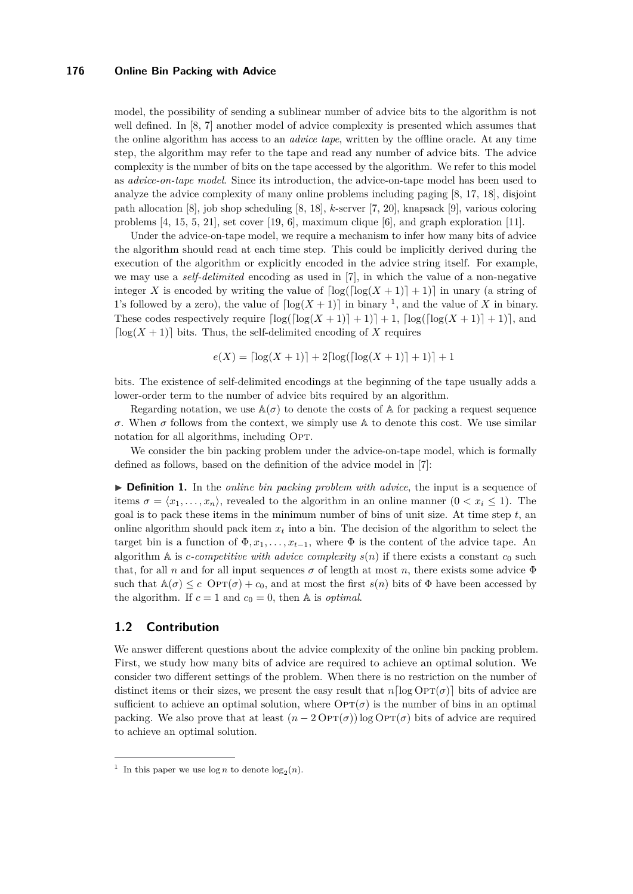model, the possibility of sending a sublinear number of advice bits to the algorithm is not well defined. In [\[8,](#page-12-5) [7\]](#page-11-2) another model of advice complexity is presented which assumes that the online algorithm has access to an *advice tape*, written by the offline oracle. At any time step, the algorithm may refer to the tape and read any number of advice bits. The advice complexity is the number of bits on the tape accessed by the algorithm. We refer to this model as *advice-on-tape model*. Since its introduction, the advice-on-tape model has been used to analyze the advice complexity of many online problems including paging [\[8,](#page-12-5) [17,](#page-12-6) [18\]](#page-12-7), disjoint path allocation [\[8\]](#page-12-5), job shop scheduling [\[8,](#page-12-5) [18\]](#page-12-7), *k*-server [\[7,](#page-11-2) [20\]](#page-12-8), knapsack [\[9\]](#page-12-9), various coloring problems [\[4,](#page-11-3) [15,](#page-12-11) [5,](#page-11-5) [21\]](#page-12-13), set cover [\[19,](#page-12-12) [6\]](#page-11-4), maximum clique [\[6\]](#page-11-4), and graph exploration [\[11\]](#page-12-10).

Under the advice-on-tape model, we require a mechanism to infer how many bits of advice the algorithm should read at each time step. This could be implicitly derived during the execution of the algorithm or explicitly encoded in the advice string itself. For example, we may use a *self-delimited* encoding as used in [\[7\]](#page-11-2), in which the value of a non-negative integer X is encoded by writing the value of  $\lceil \log(\lceil \log(X+1) \rceil + 1) \rceil$  in unary (a string of [1](#page-2-0)'s followed by a zero), the value of  $\lceil \log(X + 1) \rceil$  in binary <sup>1</sup>, and the value of *X* in binary. These codes respectively require  $\lceil \log(\lceil \log(X+1) \rceil + 1) \rceil + 1$ ,  $\lceil \log(\lceil \log(X+1) \rceil + 1) \rceil$ , and  $\lceil \log(X+1) \rceil$  bits. Thus, the self-delimited encoding of X requires

$$
e(X) = \left\lceil \log(X+1) \right\rceil + 2\left\lceil \log(\left\lceil \log(X+1) \right\rceil + 1) \right\rceil + 1
$$

bits. The existence of self-delimited encodings at the beginning of the tape usually adds a lower-order term to the number of advice bits required by an algorithm.

Regarding notation, we use  $\mathbb{A}(\sigma)$  to denote the costs of  $\mathbb{A}$  for packing a request sequence *σ*. When *σ* follows from the context, we simply use  $A$  to denote this cost. We use similar notation for all algorithms, including OPT.

We consider the bin packing problem under the advice-on-tape model, which is formally defined as follows, based on the definition of the advice model in [\[7\]](#page-11-2):

**If Definition 1.** In the *online bin packing problem with advice*, the input is a sequence of items  $\sigma = \langle x_1, \ldots, x_n \rangle$ , revealed to the algorithm in an online manner  $(0 < x_i \leq 1)$ . The goal is to pack these items in the minimum number of bins of unit size. At time step  $t$ , and online algorithm should pack item  $x_t$  into a bin. The decision of the algorithm to select the target bin is a function of  $\Phi, x_1, \ldots, x_{t-1}$ , where  $\Phi$  is the content of the advice tape. An algorithm A is *c*-competitive with advice complexity  $s(n)$  if there exists a constant  $c_0$  such that, for all *n* and for all input sequences  $\sigma$  of length at most *n*, there exists some advice  $\Phi$ such that  $\mathbb{A}(\sigma) \leq c$  Opt $(\sigma) + c_0$ , and at most the first  $s(n)$  bits of  $\Phi$  have been accessed by the algorithm. If  $c = 1$  and  $c_0 = 0$ , then A is *optimal*.

## **1.2 Contribution**

We answer different questions about the advice complexity of the online bin packing problem. First, we study how many bits of advice are required to achieve an optimal solution. We consider two different settings of the problem. When there is no restriction on the number of distinct items or their sizes, we present the easy result that  $n\lceil \log \text{OPT}(\sigma) \rceil$  bits of advice are sufficient to achieve an optimal solution, where  $\text{OPT}(\sigma)$  is the number of bins in an optimal packing. We also prove that at least  $(n - 2 \text{OPT}(\sigma)) \log \text{OPT}(\sigma)$  bits of advice are required to achieve an optimal solution.

<span id="page-2-0"></span><sup>&</sup>lt;sup>1</sup> In this paper we use  $\log n$  to denote  $\log_2(n)$ .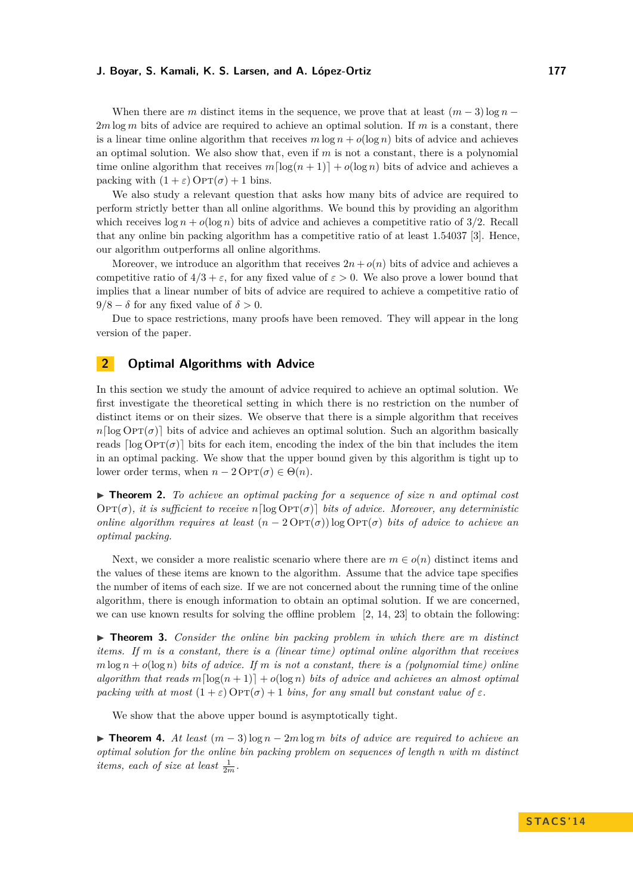When there are *m* distinct items in the sequence, we prove that at least  $(m-3)$ log *n* − 2*m* log *m* bits of advice are required to achieve an optimal solution. If *m* is a constant, there is a linear time online algorithm that receives  $m \log n + o(\log n)$  bits of advice and achieves an optimal solution. We also show that, even if *m* is not a constant, there is a polynomial time online algorithm that receives  $m\left[\log(n+1)\right] + o(\log n)$  bits of advice and achieves a packing with  $(1 + \varepsilon)$  Op $T(\sigma) + 1$  bins.

We also study a relevant question that asks how many bits of advice are required to perform strictly better than all online algorithms. We bound this by providing an algorithm which receives  $\log n + o(\log n)$  bits of advice and achieves a competitive ratio of  $3/2$ . Recall that any online bin packing algorithm has a competitive ratio of at least 1*.*54037 [\[3\]](#page-11-0). Hence, our algorithm outperforms all online algorithms.

Moreover, we introduce an algorithm that receives  $2n + o(n)$  bits of advice and achieves a competitive ratio of  $4/3 + \varepsilon$ , for any fixed value of  $\varepsilon > 0$ . We also prove a lower bound that implies that a linear number of bits of advice are required to achieve a competitive ratio of  $9/8 - \delta$  for any fixed value of  $\delta > 0$ .

Due to space restrictions, many proofs have been removed. They will appear in the long version of the paper.

# **2 Optimal Algorithms with Advice**

In this section we study the amount of advice required to achieve an optimal solution. We first investigate the theoretical setting in which there is no restriction on the number of distinct items or on their sizes. We observe that there is a simple algorithm that receives  $n\lceil \log \text{OPT}(\sigma) \rceil$  bits of advice and achieves an optimal solution. Such an algorithm basically reads  $\lceil \log \text{OPT}(\sigma) \rceil$  bits for each item, encoding the index of the bin that includes the item in an optimal packing. We show that the upper bound given by this algorithm is tight up to lower order terms, when  $n - 2 \text{OPT}(\sigma) \in \Theta(n)$ .

▶ **Theorem 2.** *To achieve an optimal packing for a sequence of size n and optimal cost*  $\text{OPT}(\sigma)$ , it is sufficient to receive  $n\lceil \log \text{OPT}(\sigma) \rceil$  bits of advice. Moreover, any deterministic *online algorithm requires at least*  $(n - 2 \text{OPT}(\sigma)) \log \text{OPT}(\sigma)$  *bits of advice to achieve an optimal packing.*

Next, we consider a more realistic scenario where there are  $m \in o(n)$  distinct items and the values of these items are known to the algorithm. Assume that the advice tape specifies the number of items of each size. If we are not concerned about the running time of the online algorithm, there is enough information to obtain an optimal solution. If we are concerned, we can use known results for solving the offline problem  $[2, 14, 23]$  $[2, 14, 23]$  $[2, 14, 23]$  to obtain the following:

▶ **Theorem 3.** *Consider the online bin packing problem in which there are m distinct items. If m is a constant, there is a (linear time) optimal online algorithm that receives*  $m \log n + o(\log n)$  *bits of advice. If m is not a constant, there is a (polynomial time) online algorithm that reads*  $m\left[\log(n+1)\right] + o(\log n)$  *bits of advice and achieves an almost optimal packing with at most*  $(1+\varepsilon)$  Op $T(\sigma)$  + 1 *bins, for any small but constant value of*  $\varepsilon$ *.* 

We show that the above upper bound is asymptotically tight.

**► Theorem 4.** At least  $(m-3)$  log  $n-2m$  log  $m$  bits of advice are required to achieve an *optimal solution for the online bin packing problem on sequences of length n with m distinct items, each of size at least*  $\frac{1}{2m}$ *.*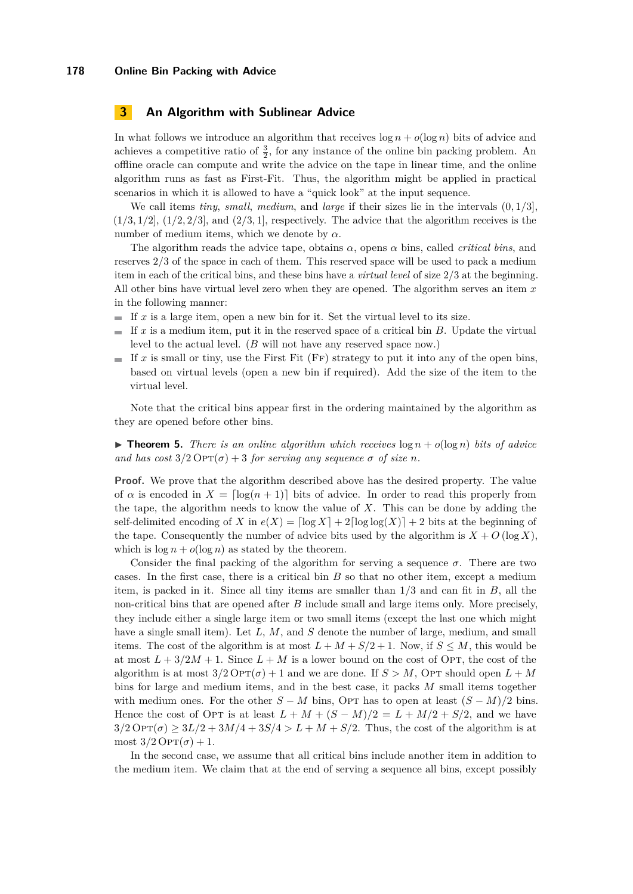## **3 An Algorithm with Sublinear Advice**

In what follows we introduce an algorithm that receives  $\log n + o(\log n)$  bits of advice and achieves a competitive ratio of  $\frac{3}{2}$ , for any instance of the online bin packing problem. An offline oracle can compute and write the advice on the tape in linear time, and the online algorithm runs as fast as First-Fit. Thus, the algorithm might be applied in practical scenarios in which it is allowed to have a "quick look" at the input sequence.

We call items *tiny*, *small*, *medium*, and *large* if their sizes lie in the intervals (0*,* 1*/*3],  $(1/3, 1/2]$ ,  $(1/2, 2/3]$ , and  $(2/3, 1]$ , respectively. The advice that the algorithm receives is the number of medium items, which we denote by *α*.

The algorithm reads the advice tape, obtains *α*, opens *α* bins, called *critical bins*, and reserves 2*/*3 of the space in each of them. This reserved space will be used to pack a medium item in each of the critical bins, and these bins have a *virtual level* of size 2/3 at the beginning. All other bins have virtual level zero when they are opened. The algorithm serves an item *x* in the following manner:

- If  $x$  is a large item, open a new bin for it. Set the virtual level to its size.
- If *x* is a medium item, put it in the reserved space of a critical bin *B*. Update the virtual  $\blacksquare$ level to the actual level. (*B* will not have any reserved space now.)
- If  $x$  is small or tiny, use the First Fit  $(FF)$  strategy to put it into any of the open bins,  $\sim$ based on virtual levels (open a new bin if required). Add the size of the item to the virtual level.

Note that the critical bins appear first in the ordering maintained by the algorithm as they are opened before other bins.

## $\triangleright$  **Theorem 5.** *There is an online algorithm which receives*  $\log n + o(\log n)$  *bits of advice and has cost*  $3/2 \text{OPT}(\sigma) + 3$  *for serving any sequence*  $\sigma$  *of size n.*

**Proof.** We prove that the algorithm described above has the desired property. The value of  $\alpha$  is encoded in  $X = \lceil \log(n+1) \rceil$  bits of advice. In order to read this properly from the tape, the algorithm needs to know the value of *X*. This can be done by adding the self-delimited encoding of *X* in  $e(X) = \lfloor \log X \rfloor + 2\lfloor \log \log(X) \rfloor + 2$  bits at the beginning of the tape. Consequently the number of advice bits used by the algorithm is  $X + O(\log X)$ , which is  $\log n + o(\log n)$  as stated by the theorem.

Consider the final packing of the algorithm for serving a sequence  $\sigma$ . There are two cases. In the first case, there is a critical bin *B* so that no other item, except a medium item, is packed in it. Since all tiny items are smaller than 1*/*3 and can fit in *B*, all the non-critical bins that are opened after *B* include small and large items only. More precisely, they include either a single large item or two small items (except the last one which might have a single small item). Let L, M, and S denote the number of large, medium, and small items. The cost of the algorithm is at most  $L + M + S/2 + 1$ . Now, if  $S \leq M$ , this would be at most  $L + 3/2M + 1$ . Since  $L + M$  is a lower bound on the cost of OPT, the cost of the algorithm is at most  $3/2$  Op $T(\sigma) + 1$  and we are done. If  $S > M$ , OpT should open  $L + M$ bins for large and medium items, and in the best case, it packs *M* small items together with medium ones. For the other  $S - M$  bins, OPT has to open at least  $(S - M)/2$  bins. Hence the cost of Opt is at least  $L + M + (S - M)/2 = L + M/2 + S/2$ , and we have  $3/2$  Opt $(\sigma) \ge 3L/2 + 3M/4 + 3S/4 > L + M + S/2$ . Thus, the cost of the algorithm is at most  $3/2$  Op $T(\sigma) + 1$ .

In the second case, we assume that all critical bins include another item in addition to the medium item. We claim that at the end of serving a sequence all bins, except possibly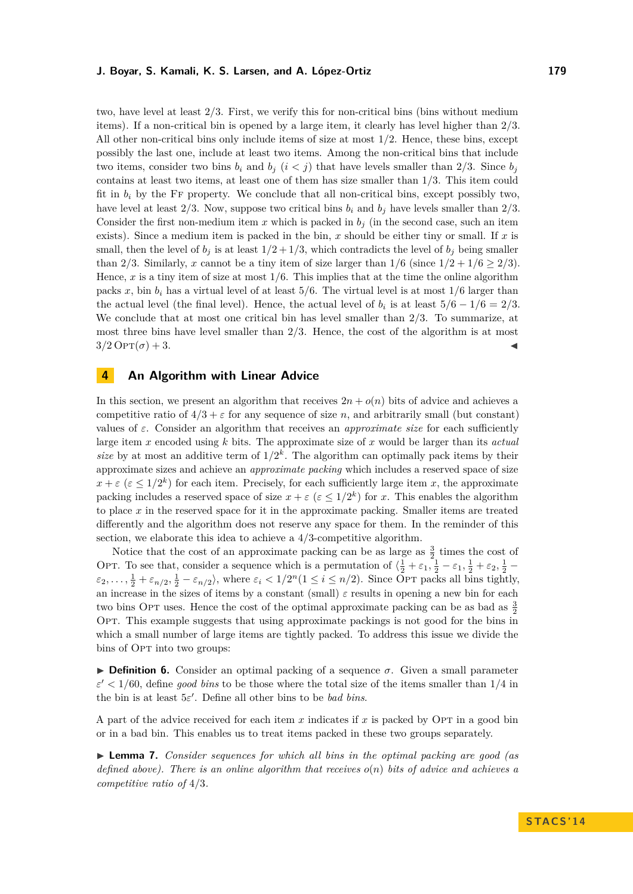two, have level at least 2*/*3. First, we verify this for non-critical bins (bins without medium items). If a non-critical bin is opened by a large item, it clearly has level higher than 2*/*3. All other non-critical bins only include items of size at most 1*/*2. Hence, these bins, except possibly the last one, include at least two items. Among the non-critical bins that include two items, consider two bins  $b_i$  and  $b_j$   $(i < j)$  that have levels smaller than 2/3. Since  $b_j$ contains at least two items, at least one of them has size smaller than 1*/*3. This item could fit in  $b_i$  by the FF property. We conclude that all non-critical bins, except possibly two, have level at least  $2/3$ . Now, suppose two critical bins  $b_i$  and  $b_j$  have levels smaller than  $2/3$ . Consider the first non-medium item x which is packed in  $b_j$  (in the second case, such an item exists). Since a medium item is packed in the bin, *x* should be either tiny or small. If *x* is small, then the level of  $b_j$  is at least  $1/2 + 1/3$ , which contradicts the level of  $b_j$  being smaller than 2/3. Similarly, *x* cannot be a tiny item of size larger than  $1/6$  (since  $1/2 + 1/6 \ge 2/3$ ). Hence, *x* is a tiny item of size at most 1*/*6. This implies that at the time the online algorithm packs x, bin  $b_i$  has a virtual level of at least  $5/6$ . The virtual level is at most  $1/6$  larger than the actual level (the final level). Hence, the actual level of  $b_i$  is at least  $5/6 - 1/6 = 2/3$ . We conclude that at most one critical bin has level smaller than 2*/*3. To summarize, at most three bins have level smaller than 2*/*3. Hence, the cost of the algorithm is at most  $3/2 \text{OPT}(\sigma) + 3.$ 

## **4 An Algorithm with Linear Advice**

In this section, we present an algorithm that receives  $2n + o(n)$  bits of advice and achieves a competitive ratio of  $4/3 + \varepsilon$  for any sequence of size *n*, and arbitrarily small (but constant) values of  $\varepsilon$ . Consider an algorithm that receives an *approximate size* for each sufficiently large item *x* encoded using *k* bits. The approximate size of *x* would be larger than its *actual* size by at most an additive term of  $1/2^k$ . The algorithm can optimally pack items by their approximate sizes and achieve an *approximate packing* which includes a reserved space of size  $x + \varepsilon$  ( $\varepsilon \leq 1/2^k$ ) for each item. Precisely, for each sufficiently large item *x*, the approximate packing includes a reserved space of size  $x + \varepsilon$  ( $\varepsilon \leq 1/2^k$ ) for *x*. This enables the algorithm to place *x* in the reserved space for it in the approximate packing. Smaller items are treated differently and the algorithm does not reserve any space for them. In the reminder of this section, we elaborate this idea to achieve a 4/3-competitive algorithm.

Notice that the cost of an approximate packing can be as large as  $\frac{3}{2}$  times the cost of OPT. To see that, consider a sequence which is a permutation of  $\left(\frac{1}{2} + \varepsilon_1, \frac{1}{2} - \varepsilon_1, \frac{1}{2} + \varepsilon_2, \frac{1}{2} - \varepsilon_1, \frac{1}{2} + \varepsilon_2\right)$  $\varepsilon_2, \ldots, \frac{1}{2} + \varepsilon_{n/2}, \frac{1}{2} - \varepsilon_{n/2}$ , where  $\varepsilon_i < 1/2^n (1 \le i \le n/2)$ . Since Opt packs all bins tightly, an increase in the sizes of items by a constant (small)  $\varepsilon$  results in opening a new bin for each two bins OPT uses. Hence the cost of the optimal approximate packing can be as bad as  $\frac{3}{2}$ Opt. This example suggests that using approximate packings is not good for the bins in which a small number of large items are tightly packed. To address this issue we divide the bins of OPT into two groups:

<span id="page-5-0"></span>**Definition 6.** Consider an optimal packing of a sequence  $\sigma$ . Given a small parameter  $\varepsilon'$  < 1/60, define *good bins* to be those where the total size of the items smaller than 1/4 in the bin is at least  $5\varepsilon'$ . Define all other bins to be *bad bins*.

A part of the advice received for each item *x* indicates if *x* is packed by Opt in a good bin or in a bad bin. This enables us to treat items packed in these two groups separately.

<span id="page-5-1"></span>► **Lemma 7.** *Consider sequences for which all bins in the optimal packing are good (as defined above). There is an online algorithm that receives o*(*n*) *bits of advice and achieves a competitive ratio of* 4*/*3*.*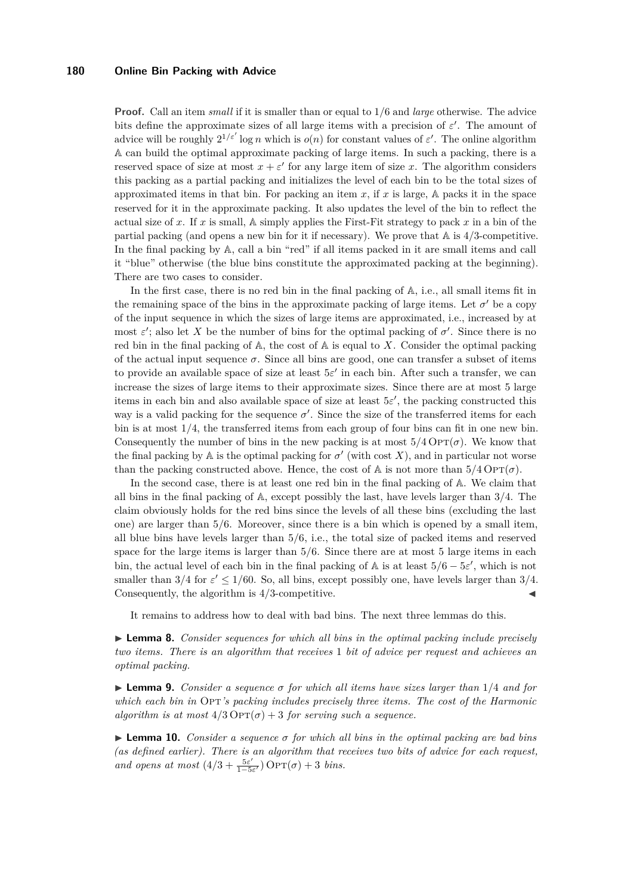**Proof.** Call an item *small* if it is smaller than or equal to 1*/*6 and *large* otherwise. The advice bits define the approximate sizes of all large items with a precision of  $\varepsilon'$ . The amount of advice will be roughly  $2^{1/\varepsilon'}$  log *n* which is  $o(n)$  for constant values of  $\varepsilon'$ . The online algorithm A can build the optimal approximate packing of large items. In such a packing, there is a reserved space of size at most  $x + \varepsilon'$  for any large item of size *x*. The algorithm considers this packing as a partial packing and initializes the level of each bin to be the total sizes of approximated items in that bin. For packing an item  $x$ , if  $x$  is large,  $A$  packs it in the space reserved for it in the approximate packing. It also updates the level of the bin to reflect the actual size of *x*. If *x* is small, A simply applies the First-Fit strategy to pack *x* in a bin of the partial packing (and opens a new bin for it if necessary). We prove that A is 4*/*3-competitive. In the final packing by  $A$ , call a bin "red" if all items packed in it are small items and call it "blue" otherwise (the blue bins constitute the approximated packing at the beginning). There are two cases to consider.

In the first case, there is no red bin in the final packing of  $\mathbb{A}$ , i.e., all small items fit in the remaining space of the bins in the approximate packing of large items. Let  $\sigma'$  be a copy of the input sequence in which the sizes of large items are approximated, i.e., increased by at most  $\varepsilon'$ ; also let X be the number of bins for the optimal packing of  $\sigma'$ . Since there is no red bin in the final packing of  $A$ , the cost of  $A$  is equal to  $X$ . Consider the optimal packing of the actual input sequence  $\sigma$ . Since all bins are good, one can transfer a subset of items to provide an available space of size at least  $5\varepsilon'$  in each bin. After such a transfer, we can increase the sizes of large items to their approximate sizes. Since there are at most 5 large items in each bin and also available space of size at least  $5\varepsilon'$ , the packing constructed this way is a valid packing for the sequence  $\sigma'$ . Since the size of the transferred items for each bin is at most 1*/*4, the transferred items from each group of four bins can fit in one new bin. Consequently the number of bins in the new packing is at most  $5/4 \text{OPT}(\sigma)$ . We know that the final packing by  $\mathbb A$  is the optimal packing for  $\sigma'$  (with cost X), and in particular not worse than the packing constructed above. Hence, the cost of  $\mathbb A$  is not more than  $5/4$  Op $T(\sigma)$ .

In the second case, there is at least one red bin in the final packing of A. We claim that all bins in the final packing of A, except possibly the last, have levels larger than 3*/*4. The claim obviously holds for the red bins since the levels of all these bins (excluding the last one) are larger than 5*/*6. Moreover, since there is a bin which is opened by a small item, all blue bins have levels larger than 5*/*6, i.e., the total size of packed items and reserved space for the large items is larger than  $5/6$ . Since there are at most 5 large items in each bin, the actual level of each bin in the final packing of  $\mathbb A$  is at least  $5/6 - 5\varepsilon'$ , which is not smaller than  $3/4$  for  $\varepsilon' \leq 1/60$ . So, all bins, except possibly one, have levels larger than  $3/4$ . Consequently, the algorithm is  $4/3$ -competitive.

It remains to address how to deal with bad bins. The next three lemmas do this.

<span id="page-6-0"></span>► **Lemma 8.** *Consider sequences for which all bins in the optimal packing include precisely two items. There is an algorithm that receives* 1 *bit of advice per request and achieves an optimal packing.*

<span id="page-6-1"></span>I **Lemma 9.** *Consider a sequence σ for which all items have sizes larger than* 1*/*4 *and for which each bin in* Op<sup>*T*</sup>'s packing includes precisely three items. The cost of the Harmonic *algorithm is at most*  $4/3 \text{OPT}(\sigma) + 3$  *for serving such a sequence.* 

<span id="page-6-2"></span> $\triangleright$  **Lemma 10.** *Consider a sequence*  $\sigma$  *for which all bins in the optimal packing are bad bins (as defined earlier). There is an algorithm that receives two bits of advice for each request, and opens at most*  $\left(4/3 + \frac{5\varepsilon^2}{1-\overline{5}}\right)$  $\frac{5\varepsilon'}{1-5\varepsilon'}$ ) Op $\text{Tr}(\sigma) + 3$  *bins.*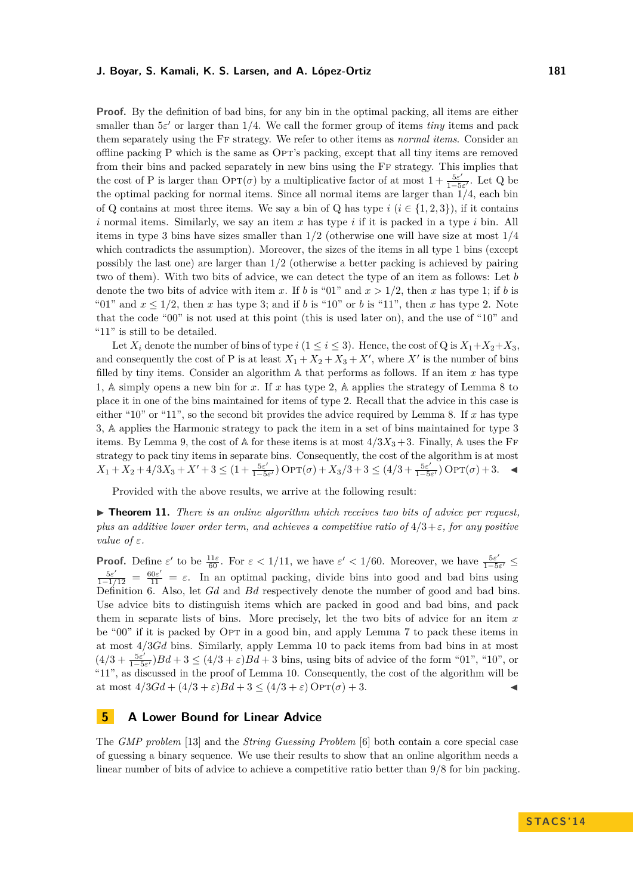**Proof.** By the definition of bad bins, for any bin in the optimal packing, all items are either

smaller than  $5\varepsilon'$  or larger than  $1/4$ . We call the former group of items *tiny* items and pack them separately using the Ff strategy. We refer to other items as *normal items*. Consider an offline packing P which is the same as Opt's packing, except that all tiny items are removed from their bins and packed separately in new bins using the Ff strategy. This implies that the cost of P is larger than  $\text{OPT}(\sigma)$  by a multiplicative factor of at most  $1 + \frac{5\varepsilon^2}{1.5\varepsilon^2}$  $\frac{\partial \varepsilon}{1-5\varepsilon'}$ . Let Q be the optimal packing for normal items. Since all normal items are larger than 1*/*4, each bin of Q contains at most three items. We say a bin of Q has type  $i$  ( $i \in \{1, 2, 3\}$ ), if it contains *i* normal items. Similarly, we say an item *x* has type *i* if it is packed in a type *i* bin. All items in type 3 bins have sizes smaller than 1*/*2 (otherwise one will have size at most 1*/*4 which contradicts the assumption). Moreover, the sizes of the items in all type 1 bins (except possibly the last one) are larger than 1*/*2 (otherwise a better packing is achieved by pairing two of them). With two bits of advice, we can detect the type of an item as follows: Let *b* denote the two bits of advice with item *x*. If *b* is "01" and  $x > 1/2$ , then *x* has type 1; if *b* is "01" and  $x \le 1/2$ , then *x* has type 3; and if *b* is "10" or *b* is "11", then *x* has type 2. Note that the code "00" is not used at this point (this is used later on), and the use of "10" and " $11$ " is still to be detailed.

Let  $X_i$  denote the number of bins of type  $i$  ( $1 \le i \le 3$ ). Hence, the cost of Q is  $X_1 + X_2 + X_3$ , and consequently the cost of P is at least  $X_1 + X_2 + X_3 + X'$ , where X' is the number of bins filled by tiny items. Consider an algorithm A that performs as follows. If an item *x* has type 1, A simply opens a new bin for *x*. If *x* has type 2, A applies the strategy of Lemma [8](#page-6-0) to place it in one of the bins maintained for items of type 2. Recall that the advice in this case is either "10" or "11", so the second bit provides the advice required by Lemma [8.](#page-6-0) If *x* has type 3, A applies the Harmonic strategy to pack the item in a set of bins maintained for type 3 items. By Lemma [9,](#page-6-1) the cost of  $A$  for these items is at most  $4/3X_3 + 3$ . Finally,  $A$  uses the FF strategy to pack tiny items in separate bins. Consequently, the cost of the algorithm is at most  $X_1 + X_2 + 4/3X_3 + X' + 3 \leq (1 + \frac{5\varepsilon'}{1 - 5\varepsilon})$  $\frac{5\varepsilon'}{1-5\varepsilon'}$ ) OPT(*σ*) + *X*<sub>3</sub>/3 + 3 ≤ (4/3 +  $\frac{5\varepsilon'}{1-5}$  $\frac{5\varepsilon'}{1-5\varepsilon'}$ ) Opt( $\sigma$ ) + 3.  $\blacktriangleleft$ 

Provided with the above results, we arrive at the following result:

▶ **Theorem 11.** *There is an online algorithm which receives two bits of advice per request. plus an additive lower order term, and achieves a competitive ratio of*  $4/3 + \varepsilon$ *, for any positive value of*  $\varepsilon$ *.* 

**Proof.** Define  $\varepsilon'$  to be  $\frac{11\varepsilon}{60}$ . For  $\varepsilon < 1/11$ , we have  $\varepsilon' < 1/60$ . Moreover, we have  $\frac{5\varepsilon'}{1-5}$  $rac{5\varepsilon'}{1-5\varepsilon'}$  ≤  $\frac{5\varepsilon'}{1-1/12} = \frac{60\varepsilon'}{11} = \varepsilon$ . In an optimal packing, divide bins into good and bad bins using Definition [6.](#page-5-0) Also, let *Gd* and *Bd* respectively denote the number of good and bad bins. Use advice bits to distinguish items which are packed in good and bad bins, and pack them in separate lists of bins. More precisely, let the two bits of advice for an item *x* be "00" if it is packed by OPT in a good bin, and apply Lemma [7](#page-5-1) to pack these items in at most 4*/*3*Gd* bins. Similarly, apply Lemma [10](#page-6-2) to pack items from bad bins in at most  $\left(4/3+\frac{5\varepsilon^{'}}{1-5}\right)$  $\frac{5\varepsilon'}{1-5\varepsilon'}$ ) $Bd+3 \leq (4/3+\varepsilon)Bd+3$  bins, using bits of advice of the form "01", "10", or "11", as discussed in the proof of Lemma [10.](#page-6-2) Consequently, the cost of the algorithm will be at most  $4/3Gd + (4/3 + \varepsilon)Bd + 3 \leq (4/3 + \varepsilon) \text{OPT}(\sigma) + 3.$ 

## **5 A Lower Bound for Linear Advice**

The *GMP problem* [\[13\]](#page-12-3) and the *String Guessing Problem* [\[6\]](#page-11-4) both contain a core special case of guessing a binary sequence. We use their results to show that an online algorithm needs a linear number of bits of advice to achieve a competitive ratio better than 9*/*8 for bin packing.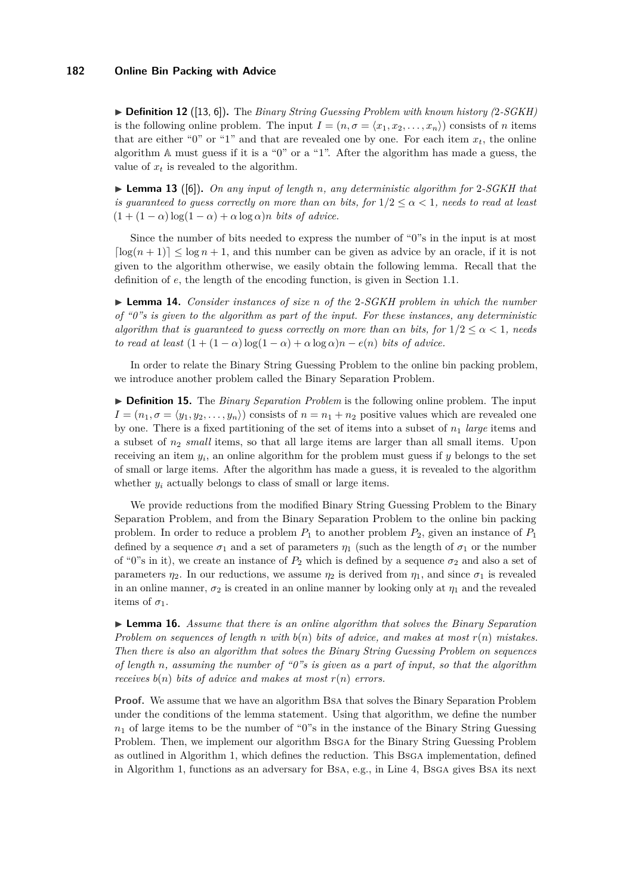▶ **Definition 12** ([\[13,](#page-12-3) [6\]](#page-11-4)). The *Binary String Guessing Problem with known history (2-SGKH)* is the following online problem. The input  $I = (n, \sigma = \langle x_1, x_2, \ldots, x_n \rangle)$  consists of *n* items that are either "0" or "1" and that are revealed one by one. For each item  $x_t$ , the online algorithm A must guess if it is a "0" or a "1". After the algorithm has made a guess, the value of  $x_t$  is revealed to the algorithm.

I **Lemma 13** ([\[6\]](#page-11-4))**.** *On any input of length n, any deterministic algorithm for* 2*-SGKH that is guaranteed to guess correctly on more than*  $\alpha n$  *bits, for*  $1/2 \leq \alpha < 1$ *, needs to read at least*  $(1 + (1 - \alpha) \log(1 - \alpha) + \alpha \log \alpha)n$  *bits of advice.* 

Since the number of bits needed to express the number of "0"s in the input is at most  $\lceil \log(n+1) \rceil \leq \log n + 1$ , and this number can be given as advice by an oracle, if it is not given to the algorithm otherwise, we easily obtain the following lemma. Recall that the definition of *e*, the length of the encoding function, is given in Section [1.1.](#page-1-0)

<span id="page-8-1"></span>I **Lemma 14.** *Consider instances of size n of the* 2*-SGKH problem in which the number of "0"s is given to the algorithm as part of the input. For these instances, any deterministic algorithm that is guaranteed to guess correctly on more than*  $\alpha n$  *bits, for*  $1/2 \leq \alpha < 1$ , needs *to read at least*  $(1 + (1 - \alpha) \log(1 - \alpha) + \alpha \log \alpha)n - e(n)$  *bits of advice.* 

In order to relate the Binary String Guessing Problem to the online bin packing problem, we introduce another problem called the Binary Separation Problem.

I **Definition 15.** The *Binary Separation Problem* is the following online problem. The input  $I = (n_1, \sigma = \langle y_1, y_2, \ldots, y_n \rangle)$  consists of  $n = n_1 + n_2$  positive values which are revealed one by one. There is a fixed partitioning of the set of items into a subset of *n*<sup>1</sup> *large* items and a subset of *n*<sup>2</sup> *small* items, so that all large items are larger than all small items. Upon receiving an item *y<sup>i</sup>* , an online algorithm for the problem must guess if *y* belongs to the set of small or large items. After the algorithm has made a guess, it is revealed to the algorithm whether  $y_i$  actually belongs to class of small or large items.

We provide reductions from the modified Binary String Guessing Problem to the Binary Separation Problem, and from the Binary Separation Problem to the online bin packing problem. In order to reduce a problem  $P_1$  to another problem  $P_2$ , given an instance of  $P_1$ defined by a sequence  $\sigma_1$  and a set of parameters  $\eta_1$  (such as the length of  $\sigma_1$  or the number of "0"s in it), we create an instance of  $P_2$  which is defined by a sequence  $\sigma_2$  and also a set of parameters  $\eta_2$ . In our reductions, we assume  $\eta_2$  is derived from  $\eta_1$ , and since  $\sigma_1$  is revealed in an online manner,  $\sigma_2$  is created in an online manner by looking only at  $\eta_1$  and the revealed items of  $\sigma_1$ .

<span id="page-8-0"></span>I **Lemma 16.** *Assume that there is an online algorithm that solves the Binary Separation Problem on sequences of length n with b*(*n*) *bits of advice, and makes at most r*(*n*) *mistakes. Then there is also an algorithm that solves the Binary String Guessing Problem on sequences of length n, assuming the number of "0"s is given as a part of input, so that the algorithm receives*  $b(n)$  *bits of advice and makes at most*  $r(n)$  *errors.* 

**Proof.** We assume that we have an algorithm BsA that solves the Binary Separation Problem under the conditions of the lemma statement. Using that algorithm, we define the number  $n_1$  of large items to be the number of "0"s in the instance of the Binary String Guessing Problem. Then, we implement our algorithm Bsga for the Binary String Guessing Problem as outlined in Algorithm [1,](#page-0-0) which defines the reduction. This Bsga implementation, defined in Algorithm [1,](#page-0-0) functions as an adversary for Bsa, e.g., in Line 4, Bsga gives Bsa its next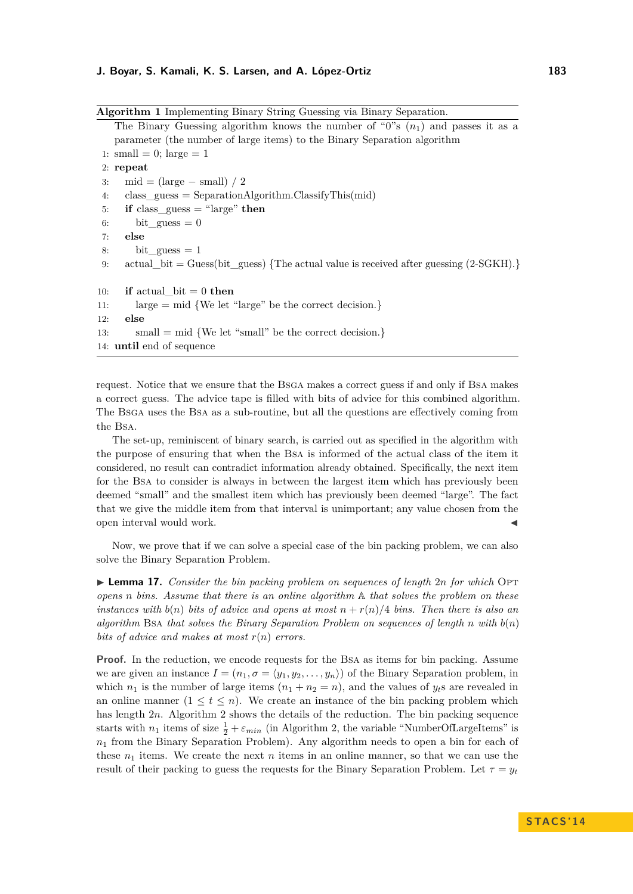**Algorithm 1** Implementing Binary String Guessing via Binary Separation. The Binary Guessing algorithm knows the number of "0"s  $(n_1)$  and passes it as a parameter (the number of large items) to the Binary Separation algorithm 1: small = 0; large = 1 2: **repeat** 3: mid =  $(\text{large} - \text{small}) / 2$ 4: class  $guess = SeparationAlgorithm.ClassifyThis(mid)$ 5: **if** class\_guess = "large" **then** 6: bit\_guess  $= 0$ 7: **else** 8: bit guess  $= 1$ 9: actual bit = Guess(bit guess) {The actual value is received after guessing  $(2-SGKH)$ .} 10: **if** actual  $\text{bit} = 0$  **then** 11: large = mid {We let "large" be the correct decision.} 12: **else** 13: small = mid {We let "small" be the correct decision.} 14: **until** end of sequence

request. Notice that we ensure that the Bsga makes a correct guess if and only if Bsa makes a correct guess. The advice tape is filled with bits of advice for this combined algorithm. The Bsga uses the Bsa as a sub-routine, but all the questions are effectively coming from the Bsa.

The set-up, reminiscent of binary search, is carried out as specified in the algorithm with the purpose of ensuring that when the Bsa is informed of the actual class of the item it considered, no result can contradict information already obtained. Specifically, the next item for the Bsa to consider is always in between the largest item which has previously been deemed "small" and the smallest item which has previously been deemed "large". The fact that we give the middle item from that interval is unimportant; any value chosen from the open interval would work.

Now, we prove that if we can solve a special case of the bin packing problem, we can also solve the Binary Separation Problem.

<span id="page-9-0"></span>▶ **Lemma 17.** *Consider the bin packing problem on sequences of length 2n for which* OPT *opens n bins. Assume that there is an online algorithm* A *that solves the problem on these instances with*  $b(n)$  *bits of advice and opens at most*  $n + r(n)/4$  *bins. Then there is also an algorithm* Bsa *that solves the Binary Separation Problem on sequences of length n with b*(*n*) *bits of advice and makes at most r*(*n*) *errors.*

**Proof.** In the reduction, we encode requests for the BSA as items for bin packing. Assume we are given an instance  $I = (n_1, \sigma = \langle y_1, y_2, \ldots, y_n \rangle)$  of the Binary Separation problem, in which  $n_1$  is the number of large items  $(n_1 + n_2 = n)$ , and the values of  $y_t$ s are revealed in an online manner  $(1 \le t \le n)$ . We create an instance of the bin packing problem which has length [2](#page-0-0)*n*. Algorithm 2 shows the details of the reduction. The bin packing sequence starts with  $n_1$  items of size  $\frac{1}{2} + \varepsilon_{min}$  (in Algorithm [2,](#page-0-0) the variable "NumberOfLargeItems" is  $n_1$  from the Binary Separation Problem). Any algorithm needs to open a bin for each of these  $n_1$  items. We create the next  $n$  items in an online manner, so that we can use the result of their packing to guess the requests for the Binary Separation Problem. Let  $\tau = y_t$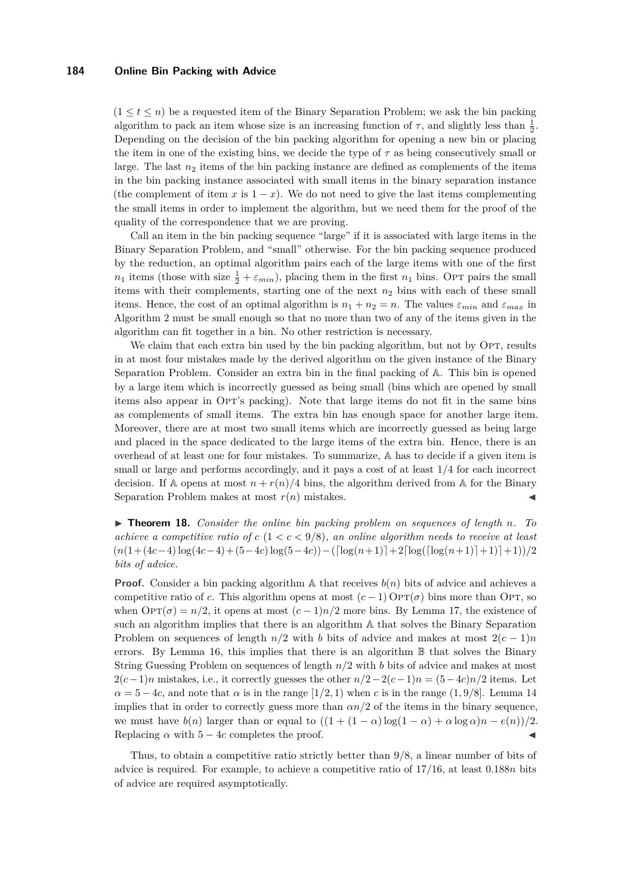$(1 \leq t \leq n)$  be a requested item of the Binary Separation Problem; we ask the bin packing algorithm to pack an item whose size is an increasing function of  $\tau$ , and slightly less than  $\frac{1}{2}$ . Depending on the decision of the bin packing algorithm for opening a new bin or placing the item in one of the existing bins, we decide the type of  $\tau$  as being consecutively small or large. The last  $n_2$  items of the bin packing instance are defined as complements of the items in the bin packing instance associated with small items in the binary separation instance (the complement of item x is  $1 - x$ ). We do not need to give the last items complementing the small items in order to implement the algorithm, but we need them for the proof of the quality of the correspondence that we are proving.

Call an item in the bin packing sequence "large" if it is associated with large items in the Binary Separation Problem, and "small" otherwise. For the bin packing sequence produced by the reduction, an optimal algorithm pairs each of the large items with one of the first  $n_1$  items (those with size  $\frac{1}{2} + \varepsilon_{min}$ ), placing them in the first  $n_1$  bins. Opt pairs the small items with their complements, starting one of the next *n*<sup>2</sup> bins with each of these small items. Hence, the cost of an optimal algorithm is  $n_1 + n_2 = n$ . The values  $\varepsilon_{min}$  and  $\varepsilon_{max}$  in Algorithm [2](#page-0-0) must be small enough so that no more than two of any of the items given in the algorithm can fit together in a bin. No other restriction is necessary.

We claim that each extra bin used by the bin packing algorithm, but not by OPT, results in at most four mistakes made by the derived algorithm on the given instance of the Binary Separation Problem. Consider an extra bin in the final packing of A. This bin is opened by a large item which is incorrectly guessed as being small (bins which are opened by small items also appear in Opt's packing). Note that large items do not fit in the same bins as complements of small items. The extra bin has enough space for another large item. Moreover, there are at most two small items which are incorrectly guessed as being large and placed in the space dedicated to the large items of the extra bin. Hence, there is an overhead of at least one for four mistakes. To summarize, A has to decide if a given item is small or large and performs accordingly, and it pays a cost of at least 1*/*4 for each incorrect decision. If A opens at most  $n + r(n)/4$  bins, the algorithm derived from A for the Binary Separation Problem makes at most  $r(n)$  mistakes.

▶ **Theorem 18.** *Consider the online bin packing problem on sequences of length n. To achieve a competitive ratio of*  $c$  ( $1 < c < 9/8$ )*, an online algorithm needs to receive at least*  $(n(1+(4c-4)\log(4c-4)+(5-4c)\log(5-4c)) - (\lceil \log(n+1) \rceil+2\lceil \log(\lceil \log(n+1) \rceil+1)\rceil+1))/2$ *bits of advice.*

**Proof.** Consider a bin packing algorithm A that receives  $b(n)$  bits of advice and achieves a competitive ratio of *c*. This algorithm opens at most  $(c-1)$  Op $T(\sigma)$  bins more than Op $T$ , so when  $\text{OPT}(\sigma) = n/2$ , it opens at most  $(c-1)n/2$  more bins. By Lemma [17,](#page-9-0) the existence of such an algorithm implies that there is an algorithm A that solves the Binary Separation Problem on sequences of length  $n/2$  with *b* bits of advice and makes at most  $2(c-1)n$ errors. By Lemma [16,](#page-8-0) this implies that there is an algorithm  $\mathbb B$  that solves the Binary String Guessing Problem on sequences of length *n/*2 with *b* bits of advice and makes at most  $2(c-1)n$  mistakes, i.e., it correctly guesses the other  $n/2-2(c-1)n = (5-4c)n/2$  items. Let  $\alpha = 5 - 4c$ , and note that  $\alpha$  is in the range  $[1/2, 1)$  when *c* is in the range  $(1, 9/8)$ . Lemma [14](#page-8-1) implies that in order to correctly guess more than  $\alpha n/2$  of the items in the binary sequence, we must have  $b(n)$  larger than or equal to  $((1 + (1 - \alpha) \log(1 - \alpha) + \alpha \log \alpha)n - e(n))/2$ . Replacing  $\alpha$  with  $5 - 4c$  completes the proof.

Thus, to obtain a competitive ratio strictly better than 9*/*8, a linear number of bits of advice is required. For example, to achieve a competitive ratio of 17*/*16, at least 0*.*188*n* bits of advice are required asymptotically.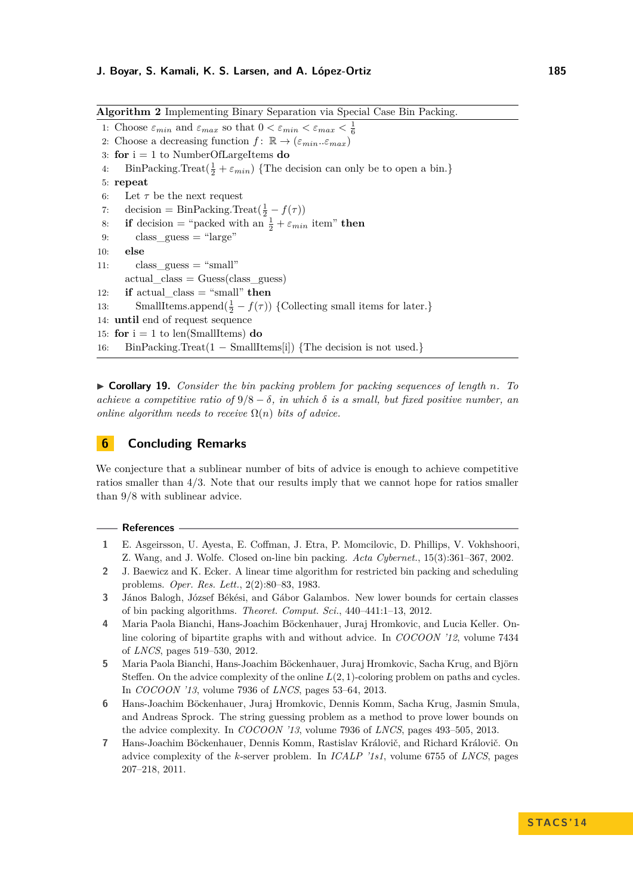**Algorithm 2** Implementing Binary Separation via Special Case Bin Packing.

```
1: Choose \varepsilon_{min} and \varepsilon_{max} so that 0 < \varepsilon_{min} < \varepsilon_{max} < \frac{1}{6}2: Choose a decreasing function f: \mathbb{R} \to (\varepsilon_{min} \dots \varepsilon_{max})3: for i = 1 to NumberOfLargeItems do
 4: BinPacking.Treat(\frac{1}{2} + \varepsilon_{min}) {The decision can only be to open a bin.}
 5: repeat
 6: Let \tau be the next request
 7: decision = BinPacking.Treat(\frac{1}{2} - f(\tau))8: if decision = "packed with an \frac{1}{2} + \varepsilon_{min} item" then
 9: class \text{guess} = "large"10: else
11: class guess = "small"actual \text{ class} = Guess(\text{class} \text{ guess})12: if actual_class = "small" then
13: SmallItems.append(\frac{1}{2} - f(\tau)) {Collecting small items for later.}
14: until end of request sequence
15: for i = 1 to len(SmallItems) do
16: BinPacking.Treat(1 − SmallItems[i]) {The decision is not used.}
```
I **Corollary 19.** *Consider the bin packing problem for packing sequences of length n. To achieve a competitive ratio of*  $9/8 - \delta$ *, in which*  $\delta$  *is a small, but fixed positive number, an online algorithm needs to receive*  $\Omega(n)$  *bits of advice.* 

# **6 Concluding Remarks**

We conjecture that a sublinear number of bits of advice is enough to achieve competitive ratios smaller than 4*/*3. Note that our results imply that we cannot hope for ratios smaller than 9*/*8 with sublinear advice.

#### **References**

- <span id="page-11-1"></span>**1** E. Asgeirsson, U. Ayesta, E. Coffman, J. Etra, P. Momcilovic, D. Phillips, V. Vokhshoori, Z. Wang, and J. Wolfe. Closed on-line bin packing. *Acta Cybernet.*, 15(3):361–367, 2002.
- <span id="page-11-6"></span>**2** J. Baewicz and K. Ecker. A linear time algorithm for restricted bin packing and scheduling problems. *Oper. Res. Lett.*, 2(2):80–83, 1983.
- <span id="page-11-0"></span>**3** János Balogh, József Békési, and Gábor Galambos. New lower bounds for certain classes of bin packing algorithms. *Theoret. Comput. Sci.*, 440–441:1–13, 2012.
- <span id="page-11-3"></span>**4** Maria Paola Bianchi, Hans-Joachim Böckenhauer, Juraj Hromkovic, and Lucia Keller. Online coloring of bipartite graphs with and without advice. In *COCOON '12*, volume 7434 of *LNCS*, pages 519–530, 2012.
- <span id="page-11-5"></span>**5** Maria Paola Bianchi, Hans-Joachim Böckenhauer, Juraj Hromkovic, Sacha Krug, and Björn Steffen. On the advice complexity of the online *L*(2*,* 1)-coloring problem on paths and cycles. In *COCOON '13*, volume 7936 of *LNCS*, pages 53–64, 2013.
- <span id="page-11-4"></span>**6** Hans-Joachim Böckenhauer, Juraj Hromkovic, Dennis Komm, Sacha Krug, Jasmin Smula, and Andreas Sprock. The string guessing problem as a method to prove lower bounds on the advice complexity. In *COCOON '13*, volume 7936 of *LNCS*, pages 493–505, 2013.
- <span id="page-11-2"></span>**7** Hans-Joachim Böckenhauer, Dennis Komm, Rastislav Královič, and Richard Královič. On advice complexity of the *k*-server problem. In *ICALP '1s1*, volume 6755 of *LNCS*, pages 207–218, 2011.